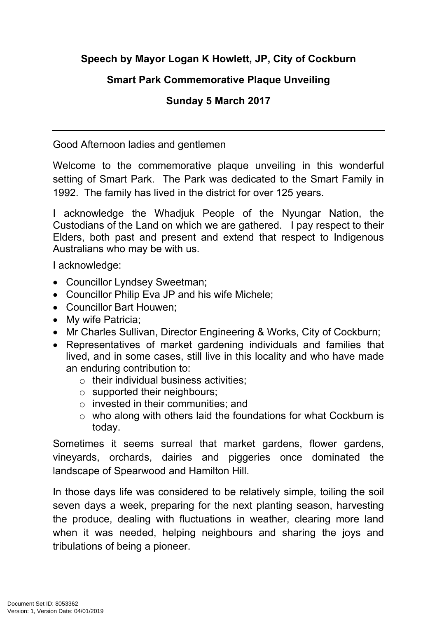## **Speech by Mayor Logan K Howlett, JP, City of Cockburn**

## **Smart Park Commemorative Plaque Unveiling**

## **Sunday 5 March 2017**

Good Afternoon ladies and gentlemen

Welcome to the commemorative plaque unveiling in this wonderful setting of Smart Park. The Park was dedicated to the Smart Family in 1992. The family has lived in the district for over 125 years.

I acknowledge the Whadjuk People of the Nyungar Nation, the Custodians of the Land on which we are gathered. I pay respect to their Elders, both past and present and extend that respect to Indigenous Australians who may be with us.

I acknowledge:

- Councillor Lyndsey Sweetman;
- Councillor Philip Eva JP and his wife Michele;
- Councillor Bart Houwen;
- My wife Patricia:
- Mr Charles Sullivan, Director Engineering & Works, City of Cockburn;
- Representatives of market gardening individuals and families that lived, and in some cases, still live in this locality and who have made an enduring contribution to:
	- $\circ$  their individual business activities;
	- o supported their neighbours;
	- o invested in their communities; and
	- o who along with others laid the foundations for what Cockburn is today.

Sometimes it seems surreal that market gardens, flower gardens, vineyards, orchards, dairies and piggeries once dominated the landscape of Spearwood and Hamilton Hill.

In those days life was considered to be relatively simple, toiling the soil seven days a week, preparing for the next planting season, harvesting the produce, dealing with fluctuations in weather, clearing more land when it was needed, helping neighbours and sharing the joys and tribulations of being a pioneer.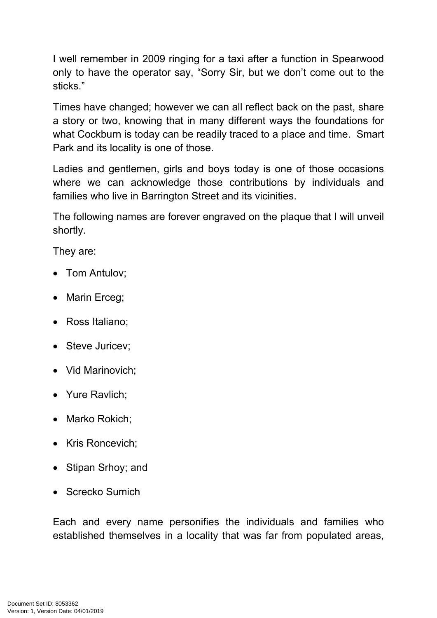I well remember in 2009 ringing for a taxi after a function in Spearwood only to have the operator say, "Sorry Sir, but we don't come out to the sticks."

Times have changed; however we can all reflect back on the past, share a story or two, knowing that in many different ways the foundations for what Cockburn is today can be readily traced to a place and time. Smart Park and its locality is one of those.

Ladies and gentlemen, girls and boys today is one of those occasions where we can acknowledge those contributions by individuals and families who live in Barrington Street and its vicinities.

The following names are forever engraved on the plaque that I will unveil shortly.

They are:

- Tom Antulov;
- Marin Erceg;
- Ross Italiano;
- Steve Juricev;
- Vid Marinovich:
- Yure Ravlich;
- Marko Rokich;
- Kris Roncevich;
- Stipan Srhoy; and
- Screcko Sumich

Each and every name personifies the individuals and families who established themselves in a locality that was far from populated areas,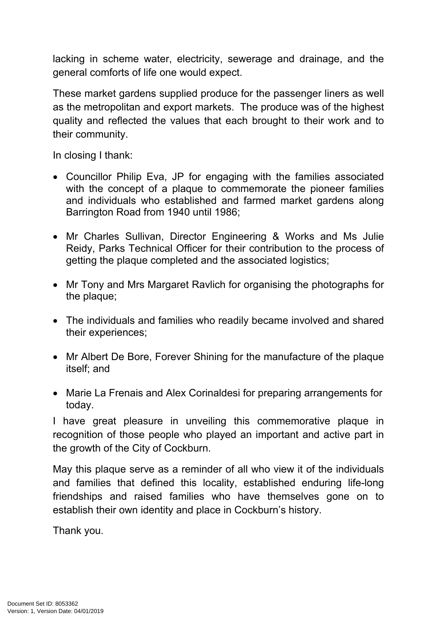lacking in scheme water, electricity, sewerage and drainage, and the general comforts of life one would expect.

These market gardens supplied produce for the passenger liners as well as the metropolitan and export markets. The produce was of the highest quality and reflected the values that each brought to their work and to their community.

In closing I thank:

- Councillor Philip Eva, JP for engaging with the families associated with the concept of a plaque to commemorate the pioneer families and individuals who established and farmed market gardens along Barrington Road from 1940 until 1986;
- Mr Charles Sullivan, Director Engineering & Works and Ms Julie Reidy, Parks Technical Officer for their contribution to the process of getting the plaque completed and the associated logistics;
- Mr Tony and Mrs Margaret Ravlich for organising the photographs for the plaque;
- The individuals and families who readily became involved and shared their experiences;
- Mr Albert De Bore, Forever Shining for the manufacture of the plaque itself; and
- Marie La Frenais and Alex Corinaldesi for preparing arrangements for today.

I have great pleasure in unveiling this commemorative plaque in recognition of those people who played an important and active part in the growth of the City of Cockburn.

May this plaque serve as a reminder of all who view it of the individuals and families that defined this locality, established enduring life-long friendships and raised families who have themselves gone on to establish their own identity and place in Cockburn's history.

Thank you.